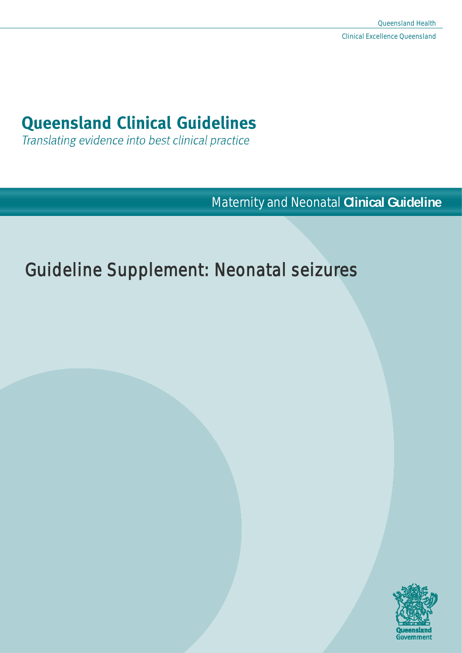# **Queensland Clinical Guidelines**

Translating evidence into best clinical practice

**Maternity and Neonatal Clinical Guideline** 

# Guideline Supplement: Neonatal seizures

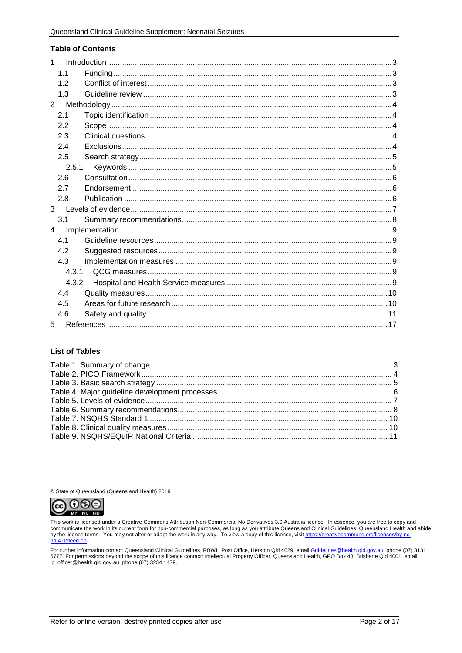#### **Table of Contents**

| 1           |       |  |
|-------------|-------|--|
| 1.1         |       |  |
| 1.2         |       |  |
| 1.3         |       |  |
| $2^{\circ}$ |       |  |
| 2.1         |       |  |
| 2.2         |       |  |
| 2.3         |       |  |
| 2.4         |       |  |
| 2.5         |       |  |
|             | 2.5.1 |  |
| 2.6         |       |  |
| 27          |       |  |
| 2.8         |       |  |
| 3           |       |  |
| 3.1         |       |  |
| 4           |       |  |
| 4.1         |       |  |
| 4.2         |       |  |
| 4.3         |       |  |
|             | 4.3.1 |  |
|             | 4.3.2 |  |
| 4.4         |       |  |
| 4.5         |       |  |
| 4.6         |       |  |
| 5           |       |  |

#### **List of Tables**

© State of Queensland (Queensland Health) 2019



This work is licensed under a Creative Commons Attribution Non-Commercial No Derivatives 3.0 Australia licence. In essence, you are free to copy and communicate the work in its current form for non-commercial purposes, as long as you attribute Queensland Clinical Guidelines, Queensland Health and abide<br>by the licence terms. You may not alter or adapt the work in any wa nd/4.0/deed.en

For further information contact Queensland Clinical Guidelines, RBWH Post Office, Herston Qld 4029, email <u>Guidelines@health.qld.gov.au,</u> phone (07) 3131<br>6777. For permissions beyond the scope of this licence contact: Inte ip\_officer@health.qld.gov.au, phone (07) 3234 1479.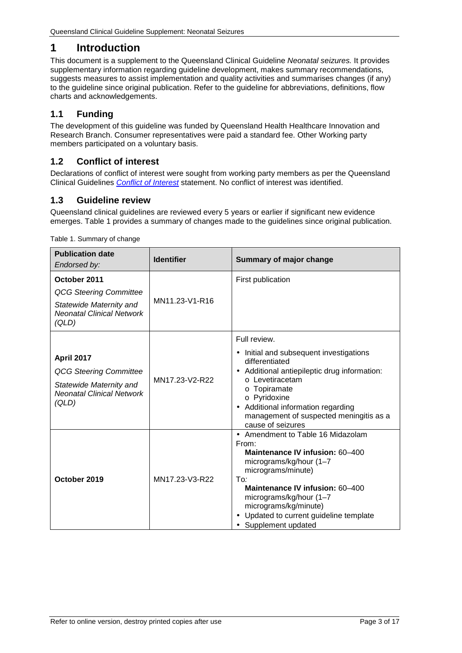# <span id="page-2-0"></span>**1 Introduction**

This document is a supplement to the Queensland Clinical Guideline *Neonatal seizures.* It provides supplementary information regarding guideline development, makes summary recommendations, suggests measures to assist implementation and quality activities and summarises changes (if any) to the guideline since original publication. Refer to the guideline for abbreviations, definitions, flow charts and acknowledgements.

## <span id="page-2-1"></span>**1.1 Funding**

The development of this guideline was funded by Queensland Health Healthcare Innovation and Research Branch. Consumer representatives were paid a standard fee. Other Working party members participated on a voluntary basis.

### <span id="page-2-2"></span>**1.2 Conflict of interest**

Declarations of conflict of interest were sought from working party members as per the Queensland Clinical Guidelines *[Conflict of Interest](http://www.health.qld.gov.au/qcg/documents/o_conflict1-0.pdf)* statement. No conflict of interest was identified.

### <span id="page-2-3"></span>**1.3 Guideline review**

Queensland clinical guidelines are reviewed every 5 years or earlier if significant new evidence emerges. [Table 1](#page-2-4) provides a summary of changes made to the guidelines since original publication.

<span id="page-2-4"></span>

| <b>Publication date</b><br>Endorsed by:                                                                               | <b>Identifier</b> | Summary of major change                                                                                                                                                                                                                                                                     |
|-----------------------------------------------------------------------------------------------------------------------|-------------------|---------------------------------------------------------------------------------------------------------------------------------------------------------------------------------------------------------------------------------------------------------------------------------------------|
| October 2011<br><b>QCG Steering Committee</b><br>Statewide Maternity and<br><b>Neonatal Clinical Network</b><br>(QLD) | MN11.23-V1-R16    | First publication                                                                                                                                                                                                                                                                           |
| April 2017<br><b>QCG Steering Committee</b><br>Statewide Maternity and<br><b>Neonatal Clinical Network</b><br>(QLD)   | MN17.23-V2-R22    | Full review.<br>Initial and subsequent investigations<br>$\bullet$<br>differentiated<br>Additional antiepileptic drug information:<br>o Levetiracetam<br>o Topiramate<br>o Pyridoxine<br>Additional information regarding<br>management of suspected meningitis as a<br>cause of seizures   |
| October 2019                                                                                                          | MN17.23-V3-R22    | - Amendment to Table 16 Midazolam<br>From:<br>Maintenance IV infusion: 60-400<br>micrograms/kg/hour (1-7<br>micrograms/minute)<br>To:<br>Maintenance IV infusion: 60-400<br>micrograms/kg/hour (1-7<br>micrograms/kg/minute)<br>Updated to current guideline template<br>Supplement updated |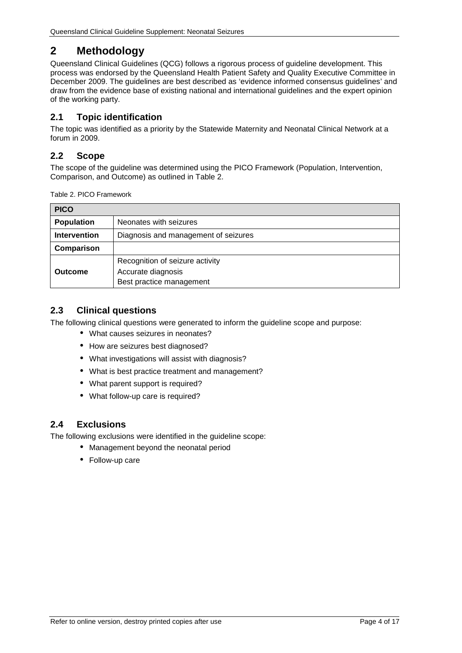# <span id="page-3-0"></span>**2 Methodology**

Queensland Clinical Guidelines (QCG) follows a rigorous process of guideline development. This process was endorsed by the Queensland Health Patient Safety and Quality Executive Committee in December 2009. The guidelines are best described as 'evidence informed consensus guidelines' and draw from the evidence base of existing national and international guidelines and the expert opinion of the working party.

## <span id="page-3-1"></span>**2.1 Topic identification**

The topic was identified as a priority by the Statewide Maternity and Neonatal Clinical Network at a forum in 2009.

## <span id="page-3-2"></span>**2.2 Scope**

The scope of the guideline was determined using the PICO Framework (Population, Intervention, Comparison, and Outcome) as outlined in [Table 2.](#page-3-5)

<span id="page-3-5"></span>Table 2. PICO Framework

| <b>PICO</b>         |                                                                                   |  |
|---------------------|-----------------------------------------------------------------------------------|--|
| <b>Population</b>   | Neonates with seizures                                                            |  |
| <b>Intervention</b> | Diagnosis and management of seizures                                              |  |
| Comparison          |                                                                                   |  |
| <b>Outcome</b>      | Recognition of seizure activity<br>Accurate diagnosis<br>Best practice management |  |

## <span id="page-3-3"></span>**2.3 Clinical questions**

The following clinical questions were generated to inform the guideline scope and purpose:

- What causes seizures in neonates?
- . How are seizures best diagnosed?
- What investigations will assist with diagnosis?
- What is best practice treatment and management?
- What parent support is required?
- What follow-up care is required?

### <span id="page-3-4"></span>**2.4 Exclusions**

The following exclusions were identified in the guideline scope:

- Management beyond the neonatal period
- Follow-up care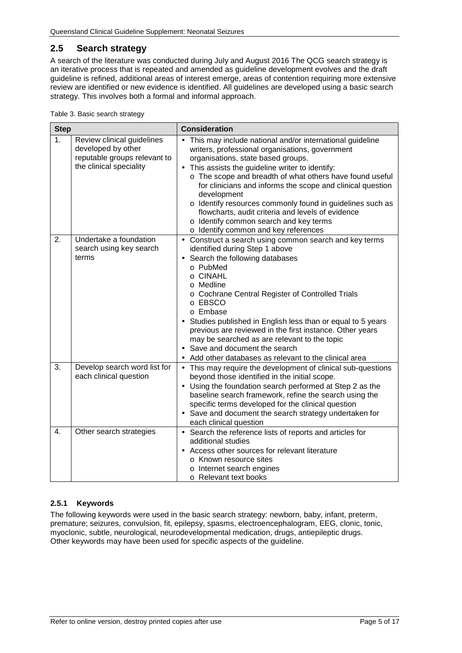## <span id="page-4-0"></span>**2.5 Search strategy**

A search of the literature was conducted during July and August 2016 The QCG search strategy is an iterative process that is repeated and amended as guideline development evolves and the draft guideline is refined, additional areas of interest emerge, areas of contention requiring more extensive review are identified or new evidence is identified. All guidelines are developed using a basic search strategy. This involves both a formal and informal approach.

<span id="page-4-2"></span>

| <b>Step</b>    |                                                                                                             | <b>Consideration</b>                                                                                                                                                                                                                                                                                                                                                                                                                                                                                                                             |  |  |
|----------------|-------------------------------------------------------------------------------------------------------------|--------------------------------------------------------------------------------------------------------------------------------------------------------------------------------------------------------------------------------------------------------------------------------------------------------------------------------------------------------------------------------------------------------------------------------------------------------------------------------------------------------------------------------------------------|--|--|
| 1 <sub>1</sub> | Review clinical guidelines<br>developed by other<br>reputable groups relevant to<br>the clinical speciality | This may include national and/or international guideline<br>writers, professional organisations, government<br>organisations, state based groups.<br>This assists the guideline writer to identify:<br>o The scope and breadth of what others have found useful<br>for clinicians and informs the scope and clinical question<br>development<br>o Identify resources commonly found in guidelines such as<br>flowcharts, audit criteria and levels of evidence<br>o Identify common search and key terms<br>o Identify common and key references |  |  |
| 2.             | Undertake a foundation<br>search using key search<br>terms                                                  | Construct a search using common search and key terms<br>identified during Step 1 above<br>Search the following databases<br>o PubMed<br>o CINAHL<br>o Medline<br>o Cochrane Central Register of Controlled Trials<br>o EBSCO<br>o Embase<br>Studies published in English less than or equal to 5 years<br>previous are reviewed in the first instance. Other years<br>may be searched as are relevant to the topic<br>Save and document the search<br>Add other databases as relevant to the clinical area                                       |  |  |
| 3.             | Develop search word list for<br>each clinical question                                                      | This may require the development of clinical sub-questions<br>$\blacksquare$<br>beyond those identified in the initial scope.<br>Using the foundation search performed at Step 2 as the<br>baseline search framework, refine the search using the<br>specific terms developed for the clinical question<br>Save and document the search strategy undertaken for<br>each clinical question                                                                                                                                                        |  |  |
| 4.             | Other search strategies                                                                                     | Search the reference lists of reports and articles for<br>¥,<br>additional studies<br>Access other sources for relevant literature<br>o Known resource sites<br>o Internet search engines<br>o Relevant text books                                                                                                                                                                                                                                                                                                                               |  |  |

#### <span id="page-4-1"></span>**2.5.1 Keywords**

The following keywords were used in the basic search strategy: newborn, baby, infant, preterm, premature; seizures, convulsion, fit, epilepsy, spasms, electroencephalogram, EEG, clonic, tonic, myoclonic, subtle, neurological, neurodevelopmental medication, drugs, antiepileptic drugs. Other keywords may have been used for specific aspects of the guideline.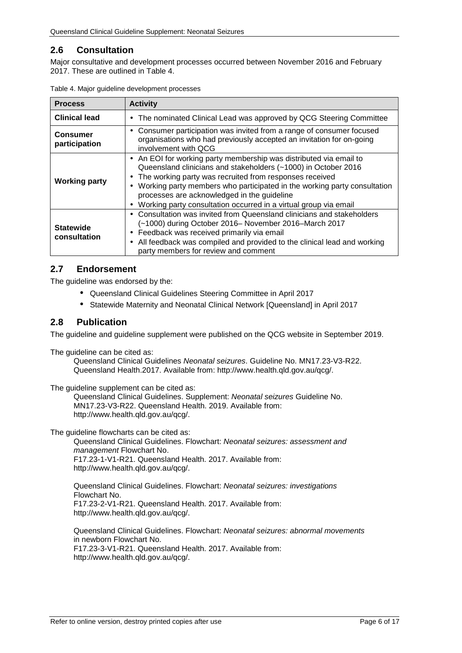### <span id="page-5-0"></span>**2.6 Consultation**

Major consultative and development processes occurred between November 2016 and February 2017. These are outlined in [Table 4.](#page-5-3)

| <b>Process</b>                   | <b>Activity</b>                                                                                                                                                                                                                                                                                                                                                                                         |  |  |
|----------------------------------|---------------------------------------------------------------------------------------------------------------------------------------------------------------------------------------------------------------------------------------------------------------------------------------------------------------------------------------------------------------------------------------------------------|--|--|
| <b>Clinical lead</b>             | The nominated Clinical Lead was approved by QCG Steering Committee<br>$\blacksquare$                                                                                                                                                                                                                                                                                                                    |  |  |
| <b>Consumer</b><br>participation | Consumer participation was invited from a range of consumer focused<br>$\blacksquare$<br>organisations who had previously accepted an invitation for on-going<br>involvement with QCG                                                                                                                                                                                                                   |  |  |
| <b>Working party</b>             | An EOI for working party membership was distributed via email to<br>×.<br>Queensland clinicians and stakeholders (~1000) in October 2016<br>The working party was recruited from responses received<br>Working party members who participated in the working party consultation<br>processes are acknowledged in the guideline<br>Working party consultation occurred in a virtual group via email<br>٠ |  |  |
| <b>Statewide</b><br>consultation | Consultation was invited from Queensland clinicians and stakeholders<br>$\blacksquare$<br>(~1000) during October 2016- November 2016-March 2017<br>Feedback was received primarily via email<br>٠<br>All feedback was compiled and provided to the clinical lead and working<br>٠<br>party members for review and comment                                                                               |  |  |

<span id="page-5-3"></span>Table 4. Major guideline development processes

### <span id="page-5-1"></span>**2.7 Endorsement**

The guideline was endorsed by the:

- Queensland Clinical Guidelines Steering Committee in April 2017
- Statewide Maternity and Neonatal Clinical Network [Queensland] in April 2017

#### <span id="page-5-2"></span>**2.8 Publication**

The guideline and guideline supplement were published on the QCG website in September 2019.

The guideline can be cited as:

Queensland Clinical Guidelines *Neonatal seizures*. Guideline No. MN17.23-V3-R22. Queensland Health.2017. Available from: http://www.health.qld.gov.au/qcg/.

The guideline supplement can be cited as:

Queensland Clinical Guidelines. Supplement: *Neonatal seizures* Guideline No. MN17.23-V3-R22. Queensland Health. 2019. Available from: http://www.health.qld.gov.au/qcg/.

The guideline flowcharts can be cited as:

Queensland Clinical Guidelines. Flowchart: *Neonatal seizures: assessment and management* Flowchart No. F17.23-1-V1-R21. Queensland Health. 2017. Available from: http://www.health.qld.gov.au/qcg/.

Queensland Clinical Guidelines. Flowchart: *Neonatal seizures: investigations* Flowchart No. F17.23-2-V1-R21. Queensland Health. 2017. Available from: http://www.health.qld.gov.au/qcg/.

Queensland Clinical Guidelines. Flowchart: *Neonatal seizures: abnormal movements* in newborn Flowchart No. F17.23-3-V1-R21. Queensland Health. 2017. Available from: http://www.health.qld.gov.au/qcg/.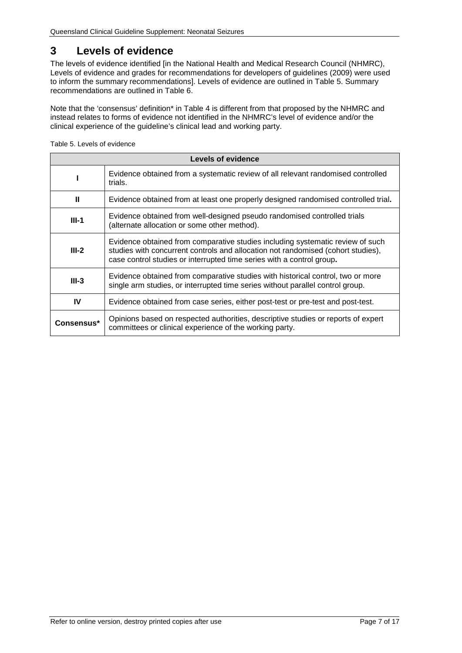## <span id="page-6-0"></span>**3 Levels of evidence**

The levels of evidence identified [in the National Health and Medical Research Council (NHMRC), Levels of evidence and grades for recommendations for developers of guidelines (2009) were used to inform the summary recommendations]. Levels of evidence are outlined in [Table 5.](#page-6-1) Summary recommendations are outlined in [Table 6.](#page-7-1)

Note that the 'consensus' definition\* in Table 4 is different from that proposed by the NHMRC and instead relates to forms of evidence not identified in the NHMRC's level of evidence and/or the clinical experience of the guideline's clinical lead and working party.

<span id="page-6-1"></span>Table 5. Levels of evidence

| Levels of evidence                                                                                                                  |                                                                                                                                                                                                                                             |  |  |
|-------------------------------------------------------------------------------------------------------------------------------------|---------------------------------------------------------------------------------------------------------------------------------------------------------------------------------------------------------------------------------------------|--|--|
|                                                                                                                                     | Evidence obtained from a systematic review of all relevant randomised controlled<br>trials.                                                                                                                                                 |  |  |
| Ш                                                                                                                                   | Evidence obtained from at least one properly designed randomised controlled trial.                                                                                                                                                          |  |  |
| Evidence obtained from well-designed pseudo randomised controlled trials<br>$III-1$<br>(alternate allocation or some other method). |                                                                                                                                                                                                                                             |  |  |
| $III-2$                                                                                                                             | Evidence obtained from comparative studies including systematic review of such<br>studies with concurrent controls and allocation not randomised (cohort studies),<br>case control studies or interrupted time series with a control group. |  |  |
| $III-3$                                                                                                                             | Evidence obtained from comparative studies with historical control, two or more<br>single arm studies, or interrupted time series without parallel control group.                                                                           |  |  |
| IV                                                                                                                                  | Evidence obtained from case series, either post-test or pre-test and post-test.                                                                                                                                                             |  |  |
| Consensus*                                                                                                                          | Opinions based on respected authorities, descriptive studies or reports of expert<br>committees or clinical experience of the working party.                                                                                                |  |  |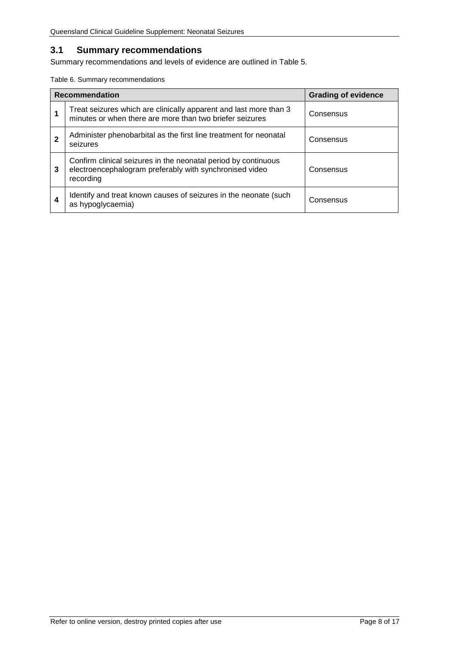# <span id="page-7-0"></span>**3.1 Summary recommendations**

Summary recommendations and levels of evidence are outlined in Table 5.

<span id="page-7-1"></span>Table 6. Summary recommendations

| <b>Recommendation</b> |                                                                                                                                        | <b>Grading of evidence</b> |
|-----------------------|----------------------------------------------------------------------------------------------------------------------------------------|----------------------------|
|                       | Treat seizures which are clinically apparent and last more than 3<br>minutes or when there are more than two briefer seizures          | Consensus                  |
|                       | Administer phenobarbital as the first line treatment for neonatal<br>seizures                                                          | Consensus                  |
| 3                     | Confirm clinical seizures in the neonatal period by continuous<br>electroencephalogram preferably with synchronised video<br>recording | Consensus                  |
| 4                     | Identify and treat known causes of seizures in the neonate (such<br>as hypoglycaemia)                                                  | Consensus                  |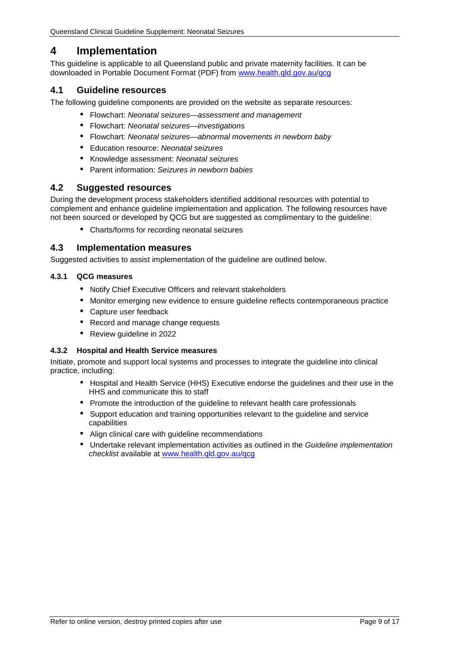# <span id="page-8-0"></span>**4 Implementation**

This guideline is applicable to all Queensland public and private maternity facilities. It can be downloaded in Portable Document Format (PDF) from [www.health.qld.gov.au/qcg](http://www.health.qld.gov.au/qcg)

#### <span id="page-8-1"></span>**4.1 Guideline resources**

The following guideline components are provided on the website as separate resources:

- Flowchart: *Neonatal seizures—assessment and management*
- Flowchart: *Neonatal seizures—investigations*
- Flowchart: *Neonatal seizures—abnormal movements in newborn baby*  $\mathbf{r}$
- Education resource: *Neonatal seizures*
- Knowledge assessment: *Neonatal seizures*
- Parent information: *Seizures in newborn babies*

#### <span id="page-8-2"></span>**4.2 Suggested resources**

During the development process stakeholders identified additional resources with potential to complement and enhance guideline implementation and application. The following resources have not been sourced or developed by QCG but are suggested as complimentary to the guideline:

Charts/forms for recording neonatal seizures

#### <span id="page-8-3"></span>**4.3 Implementation measures**

Suggested activities to assist implementation of the quideline are outlined below.

#### <span id="page-8-4"></span>**4.3.1 QCG measures**

- Notify Chief Executive Officers and relevant stakeholders
- Monitor emerging new evidence to ensure guideline reflects contemporaneous practice
- Capture user feedback
- Record and manage change requests
- Review guideline in 2022

#### <span id="page-8-5"></span>**4.3.2 Hospital and Health Service measures**

Initiate, promote and support local systems and processes to integrate the guideline into clinical practice, including:

- Hospital and Health Service (HHS) Executive endorse the guidelines and their use in the HHS and communicate this to staff
- Promote the introduction of the guideline to relevant health care professionals
- Support education and training opportunities relevant to the guideline and service capabilities
- Align clinical care with guideline recommendations
- Undertake relevant implementation activities as outlined in the *Guideline implementation checklist* available at [www.health.qld.gov.au/qcg](http://www.health.qld.gov.au/qcg)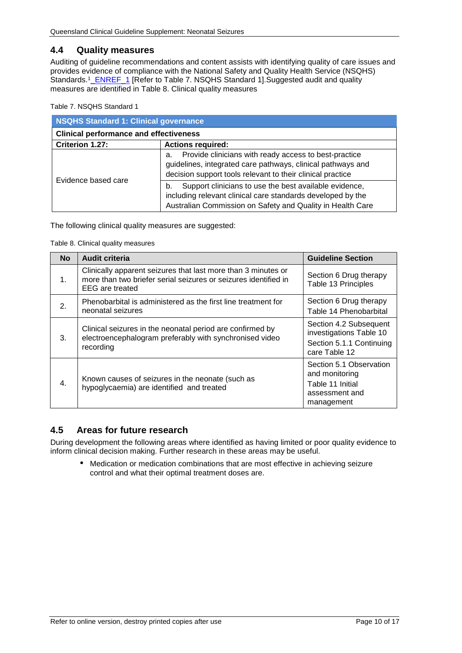#### <span id="page-9-0"></span>**4.4 Quality measures**

Auditing of guideline recommendations and content assists with identifying quality of care issues and provides evidence of compliance with the National Safety and Quality Health Service (NSQHS) Standards.<sup>1</sup>\_ENREF\_1 [Refer to [Table 7. NSQHS Standard 1\]](#page-9-2).Suggested audit and quality measures are identified in [Table 8. Clinical quality measures](#page-9-3)

<span id="page-9-2"></span>Table 7. NSQHS Standard 1

| <b>NSQHS Standard 1: Clinical governance</b>  |                                                                                                                                                                                           |  |  |
|-----------------------------------------------|-------------------------------------------------------------------------------------------------------------------------------------------------------------------------------------------|--|--|
| <b>Clinical performance and effectiveness</b> |                                                                                                                                                                                           |  |  |
| Criterion 1.27:                               | <b>Actions required:</b>                                                                                                                                                                  |  |  |
| Evidence based care                           | Provide clinicians with ready access to best-practice<br>a.<br>guidelines, integrated care pathways, clinical pathways and<br>decision support tools relevant to their clinical practice  |  |  |
|                                               | Support clinicians to use the best available evidence,<br>b.<br>including relevant clinical care standards developed by the<br>Australian Commission on Safety and Quality in Health Care |  |  |

<span id="page-9-3"></span>The following clinical quality measures are suggested:

Table 8. Clinical quality measures

| <b>No</b>        | <b>Audit criteria</b>                                                                                                                                      | <b>Guideline Section</b>                                                                       |
|------------------|------------------------------------------------------------------------------------------------------------------------------------------------------------|------------------------------------------------------------------------------------------------|
| $1_{-}$          | Clinically apparent seizures that last more than 3 minutes or<br>more than two briefer serial seizures or seizures identified in<br><b>EEG</b> are treated | Section 6 Drug therapy<br>Table 13 Principles                                                  |
| 2.               | Phenobarbital is administered as the first line treatment for<br>neonatal seizures                                                                         | Section 6 Drug therapy<br>Table 14 Phenobarbital                                               |
| 3.               | Clinical seizures in the neonatal period are confirmed by<br>electroencephalogram preferably with synchronised video<br>recording                          | Section 4.2 Subsequent<br>investigations Table 10<br>Section 5.1.1 Continuing<br>care Table 12 |
| $\overline{4}$ . | Known causes of seizures in the neonate (such as<br>hypoglycaemia) are identified and treated                                                              | Section 5.1 Observation<br>and monitoring<br>Table 11 Initial<br>assessment and<br>management  |

### <span id="page-9-1"></span>**4.5 Areas for future research**

During development the following areas where identified as having limited or poor quality evidence to inform clinical decision making. Further research in these areas may be useful.

Medication or medication combinations that are most effective in achieving seizure  $\mathbf{r}$ control and what their optimal treatment doses are.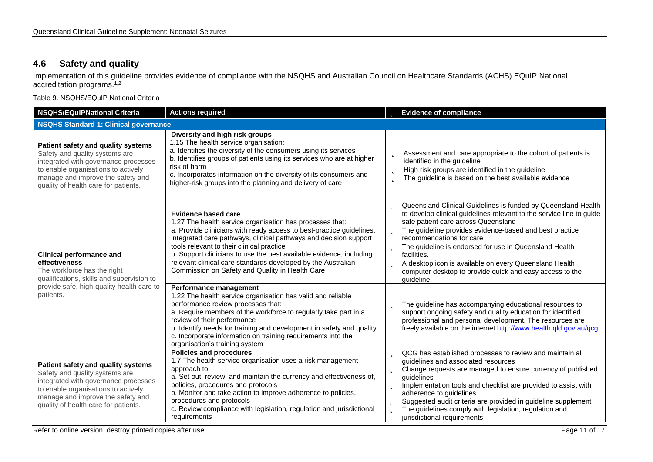### **4.6 Safety and quality**

Implementation of this guideline provides evidence of compliance with the NSQHS and Australian Council on Healthcare Standards (ACHS) EQuIP National accreditation programs. 1,2

Table 9. NSQHS/EQuIP National Criteria

<span id="page-10-1"></span><span id="page-10-0"></span>

| <b>NSQHS/EQuIPNational Criteria</b>                                                                                                                                                                                              | <b>Actions required</b>                                                                                                                                                                                                                                                                                                                                                                                                                                            | <b>b</b> Evidence of compliance                                                                                                                                                                                                                                                                                                                                                                                                                                                                    |
|----------------------------------------------------------------------------------------------------------------------------------------------------------------------------------------------------------------------------------|--------------------------------------------------------------------------------------------------------------------------------------------------------------------------------------------------------------------------------------------------------------------------------------------------------------------------------------------------------------------------------------------------------------------------------------------------------------------|----------------------------------------------------------------------------------------------------------------------------------------------------------------------------------------------------------------------------------------------------------------------------------------------------------------------------------------------------------------------------------------------------------------------------------------------------------------------------------------------------|
| <b>NSQHS Standard 1: Clinical governance</b>                                                                                                                                                                                     |                                                                                                                                                                                                                                                                                                                                                                                                                                                                    |                                                                                                                                                                                                                                                                                                                                                                                                                                                                                                    |
| Patient safety and quality systems<br>Safety and quality systems are<br>integrated with governance processes<br>to enable organisations to actively<br>manage and improve the safety and<br>quality of health care for patients. | Diversity and high risk groups<br>1.15 The health service organisation:<br>a. Identifies the diversity of the consumers using its services<br>b. Identifies groups of patients using its services who are at higher<br>risk of harm<br>c. Incorporates information on the diversity of its consumers and<br>higher-risk groups into the planning and delivery of care                                                                                              | Assessment and care appropriate to the cohort of patients is<br>Þ<br>identified in the guideline<br>High risk groups are identified in the guideline<br>Þ<br>The guideline is based on the best available evidence<br>b                                                                                                                                                                                                                                                                            |
| <b>Clinical performance and</b><br>effectiveness<br>The workforce has the right<br>qualifications, skills and supervision to<br>provide safe, high-quality health care to<br>patients.                                           | Evidence based care<br>1.27 The health service organisation has processes that:<br>a. Provide clinicians with ready access to best-practice guidelines,<br>integrated care pathways, clinical pathways and decision support<br>tools relevant to their clinical practice<br>b. Support clinicians to use the best available evidence, including<br>relevant clinical care standards developed by the Australian<br>Commission on Safety and Quality in Health Care | <b>D</b> Queensland Clinical Guidelines is funded by Queensland Health<br>to develop clinical guidelines relevant to the service line to guide<br>safe patient care across Queensland<br>The guideline provides evidence-based and best practice<br>þ<br>recommendations for care<br>The guideline is endorsed for use in Queensland Health<br>b<br>facilities.<br>A desktop icon is available on every Queensland Health<br>computer desktop to provide quick and easy access to the<br>quideline |
|                                                                                                                                                                                                                                  | Performance management<br>1.22 The health service organisation has valid and reliable<br>performance review processes that:<br>a. Require members of the workforce to regularly take part in a<br>review of their performance<br>b. Identify needs for training and development in safety and quality<br>c. Incorporate information on training requirements into the<br>organisation's training system                                                            | The guideline has accompanying educational resources to<br>b<br>support ongoing safety and quality education for identified<br>professional and personal development. The resources are<br>freely available on the internet http://www.health.qld.gov.au/qcg                                                                                                                                                                                                                                       |
| Patient safety and quality systems<br>Safety and quality systems are<br>integrated with governance processes<br>to enable organisations to actively<br>manage and improve the safety and<br>quality of health care for patients. | <b>Policies and procedures</b><br>1.7 The health service organisation uses a risk management<br>approach to:<br>a. Set out, review, and maintain the currency and effectiveness of,<br>policies, procedures and protocols<br>b. Monitor and take action to improve adherence to policies,<br>procedures and protocols<br>c. Review compliance with legislation, regulation and jurisdictional<br>requirements                                                      | <b>D</b> QCG has established processes to review and maintain all<br>guidelines and associated resources<br><b>b</b> Change requests are managed to ensure currency of published<br>guidelines<br><b>b</b> Implementation tools and checklist are provided to assist with<br>adherence to guidelines<br><b>b</b> Suggested audit criteria are provided in guideline supplement<br>The guidelines comply with legislation, regulation and<br>b.<br>jurisdictional requirements                      |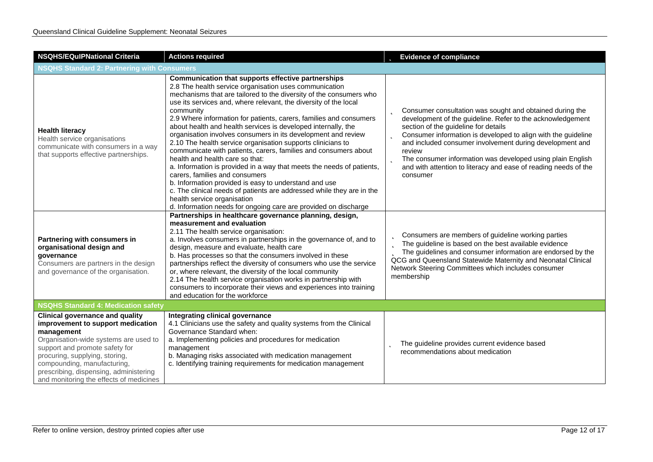| <b>NSQHS/EQulPNational Criteria</b>                                                                                                                                                                                                                                                                                        | <b>Actions required</b>                                                                                                                                                                                                                                                                                                                                                                                                                                                                                                                                                                                                                                                                                                                                                                                                                                                                                                                                                                         | <b>b</b> Evidence of compliance                                                                                                                                                                                                                                                                                                                                                                                                                                           |  |
|----------------------------------------------------------------------------------------------------------------------------------------------------------------------------------------------------------------------------------------------------------------------------------------------------------------------------|-------------------------------------------------------------------------------------------------------------------------------------------------------------------------------------------------------------------------------------------------------------------------------------------------------------------------------------------------------------------------------------------------------------------------------------------------------------------------------------------------------------------------------------------------------------------------------------------------------------------------------------------------------------------------------------------------------------------------------------------------------------------------------------------------------------------------------------------------------------------------------------------------------------------------------------------------------------------------------------------------|---------------------------------------------------------------------------------------------------------------------------------------------------------------------------------------------------------------------------------------------------------------------------------------------------------------------------------------------------------------------------------------------------------------------------------------------------------------------------|--|
| <b>NSQHS Standard 2: Partnering with Consumers</b>                                                                                                                                                                                                                                                                         |                                                                                                                                                                                                                                                                                                                                                                                                                                                                                                                                                                                                                                                                                                                                                                                                                                                                                                                                                                                                 |                                                                                                                                                                                                                                                                                                                                                                                                                                                                           |  |
| <b>Health literacy</b><br>Health service organisations<br>communicate with consumers in a way<br>that supports effective partnerships.                                                                                                                                                                                     | Communication that supports effective partnerships<br>2.8 The health service organisation uses communication<br>mechanisms that are tailored to the diversity of the consumers who<br>use its services and, where relevant, the diversity of the local<br>community<br>2.9 Where information for patients, carers, families and consumers<br>about health and health services is developed internally, the<br>organisation involves consumers in its development and review<br>2.10 The health service organisation supports clinicians to<br>communicate with patients, carers, families and consumers about<br>health and health care so that:<br>a. Information is provided in a way that meets the needs of patients,<br>carers, families and consumers<br>b. Information provided is easy to understand and use<br>c. The clinical needs of patients are addressed while they are in the<br>health service organisation<br>d. Information needs for ongoing care are provided on discharge | <b>b</b> Consumer consultation was sought and obtained during the<br>development of the guideline. Refer to the acknowledgement<br>section of the guideline for details<br>Consumer information is developed to align with the guideline<br>þ<br>and included consumer involvement during development and<br>review<br><b>b</b> The consumer information was developed using plain English<br>and with attention to literacy and ease of reading needs of the<br>consumer |  |
| Partnering with consumers in<br>organisational design and<br>governance<br>Consumers are partners in the design<br>and governance of the organisation.                                                                                                                                                                     | Partnerships in healthcare governance planning, design,<br>measurement and evaluation<br>2.11 The health service organisation:<br>a. Involves consumers in partnerships in the governance of, and to<br>design, measure and evaluate, health care<br>b. Has processes so that the consumers involved in these<br>partnerships reflect the diversity of consumers who use the service<br>or, where relevant, the diversity of the local community<br>2.14 The health service organisation works in partnership with<br>consumers to incorporate their views and experiences into training<br>and education for the workforce                                                                                                                                                                                                                                                                                                                                                                     | <b>b</b> Consumers are members of guideline working parties<br>The guideline is based on the best available evidence<br>The guidelines and consumer information are endorsed by the<br>QCG and Queensland Statewide Maternity and Neonatal Clinical<br>Network Steering Committees which includes consumer<br>membership                                                                                                                                                  |  |
| <b>NSQHS Standard 4: Medication safety</b>                                                                                                                                                                                                                                                                                 |                                                                                                                                                                                                                                                                                                                                                                                                                                                                                                                                                                                                                                                                                                                                                                                                                                                                                                                                                                                                 |                                                                                                                                                                                                                                                                                                                                                                                                                                                                           |  |
| <b>Clinical governance and quality</b><br>improvement to support medication<br>management<br>Organisation-wide systems are used to<br>support and promote safety for<br>procuring, supplying, storing,<br>compounding, manufacturing,<br>prescribing, dispensing, administering<br>and monitoring the effects of medicines | Integrating clinical governance<br>4.1 Clinicians use the safety and quality systems from the Clinical<br>Governance Standard when:<br>a. Implementing policies and procedures for medication<br>management<br>b. Managing risks associated with medication management<br>c. Identifying training requirements for medication management                                                                                                                                                                                                                                                                                                                                                                                                                                                                                                                                                                                                                                                        | The guideline provides current evidence based<br>recommendations about medication                                                                                                                                                                                                                                                                                                                                                                                         |  |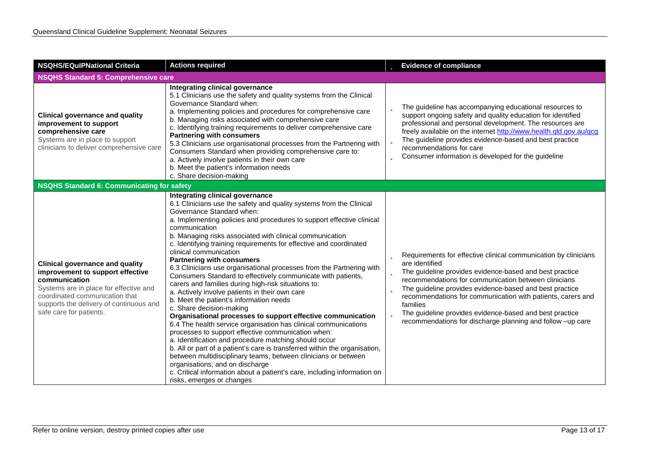| <b>NSQHS/EQulPNational Criteria</b>                                                                                                                                                                                                           | <b>Actions required</b>                                                                                                                                                                                                                                                                                                                                                                                                                                                                                                                                                                                                                                                                                                                                                                                                                                                                                                                                                                                                                                                                                                                                                                                                                                                                            | <b>b</b> Evidence of compliance                                                                                                                                                                                                                                                                                                                                                                                                                                                                         |  |
|-----------------------------------------------------------------------------------------------------------------------------------------------------------------------------------------------------------------------------------------------|----------------------------------------------------------------------------------------------------------------------------------------------------------------------------------------------------------------------------------------------------------------------------------------------------------------------------------------------------------------------------------------------------------------------------------------------------------------------------------------------------------------------------------------------------------------------------------------------------------------------------------------------------------------------------------------------------------------------------------------------------------------------------------------------------------------------------------------------------------------------------------------------------------------------------------------------------------------------------------------------------------------------------------------------------------------------------------------------------------------------------------------------------------------------------------------------------------------------------------------------------------------------------------------------------|---------------------------------------------------------------------------------------------------------------------------------------------------------------------------------------------------------------------------------------------------------------------------------------------------------------------------------------------------------------------------------------------------------------------------------------------------------------------------------------------------------|--|
| <b>NSQHS Standard 5: Comprehensive care</b>                                                                                                                                                                                                   |                                                                                                                                                                                                                                                                                                                                                                                                                                                                                                                                                                                                                                                                                                                                                                                                                                                                                                                                                                                                                                                                                                                                                                                                                                                                                                    |                                                                                                                                                                                                                                                                                                                                                                                                                                                                                                         |  |
| <b>Clinical governance and quality</b><br>improvement to support<br>comprehensive care<br>Systems are in place to support<br>clinicians to deliver comprehensive care                                                                         | Integrating clinical governance<br>5.1 Clinicians use the safety and quality systems from the Clinical<br>Governance Standard when:<br>a. Implementing policies and procedures for comprehensive care<br>b. Managing risks associated with comprehensive care<br>c. Identifying training requirements to deliver comprehensive care<br><b>Partnering with consumers</b><br>5.3 Clinicians use organisational processes from the Partnering with<br>Consumers Standard when providing comprehensive care to:<br>a. Actively involve patients in their own care<br>b. Meet the patient's information needs<br>c. Share decision-making                                                                                                                                                                                                                                                                                                                                                                                                                                                                                                                                                                                                                                                               | The guideline has accompanying educational resources to<br>support ongoing safety and quality education for identified<br>professional and personal development. The resources are<br>freely available on the internet http://www.health.qld.gov.au/qcg<br>The guideline provides evidence-based and best practice<br>recommendations for care<br><b>b</b> Consumer information is developed for the guideline                                                                                          |  |
| NSQHS Standard 6: Communicating for safety                                                                                                                                                                                                    |                                                                                                                                                                                                                                                                                                                                                                                                                                                                                                                                                                                                                                                                                                                                                                                                                                                                                                                                                                                                                                                                                                                                                                                                                                                                                                    |                                                                                                                                                                                                                                                                                                                                                                                                                                                                                                         |  |
| <b>Clinical governance and quality</b><br>improvement to support effective<br>communication<br>Systems are in place for effective and<br>coordinated communication that<br>supports the delivery of continuous and<br>safe care for patients. | Integrating clinical governance<br>6.1 Clinicians use the safety and quality systems from the Clinical<br>Governance Standard when:<br>a. Implementing policies and procedures to support effective clinical<br>communication<br>b. Managing risks associated with clinical communication<br>c. Identifying training requirements for effective and coordinated<br>clinical communication<br><b>Partnering with consumers</b><br>6.3 Clinicians use organisational processes from the Partnering with<br>Consumers Standard to effectively communicate with patients,<br>carers and families during high-risk situations to:<br>a. Actively involve patients in their own care<br>b. Meet the patient's information needs<br>c. Share decision-making<br>Organisational processes to support effective communication<br>6.4 The health service organisation has clinical communications<br>processes to support effective communication when:<br>a. Identification and procedure matching should occur<br>b. All or part of a patient's care is transferred within the organisation,<br>between multidisciplinary teams, between clinicians or between<br>organisations; and on discharge<br>c. Critical information about a patient's care, including information on<br>risks, emerges or changes | <b>D</b> Requirements for effective clinical communication by clinicians<br>are identified<br><b>b</b> The guideline provides evidence-based and best practice<br>recommendations for communication between clinicians<br><b>b</b> The guideline provides evidence-based and best practice<br>recommendations for communication with patients, carers and<br>families<br><b>b</b> The guideline provides evidence-based and best practice<br>recommendations for discharge planning and follow -up care |  |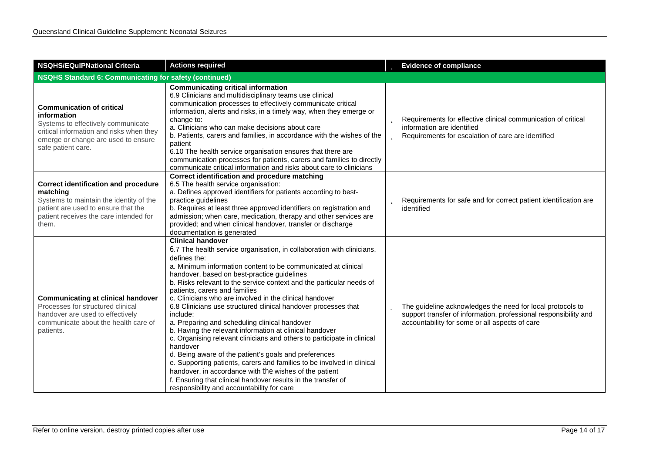| <b>NSQHS/EQulPNational Criteria</b>                                                                                                                                                            | <b>Actions required</b>                                                                                                                                                                                                                                                                                                                                                                                                                                                                                                                                                                                                                                                                                                                                                                                                                                                                                                                                                                             |  | <b>b</b> Evidence of compliance                                                                                                                                                           |
|------------------------------------------------------------------------------------------------------------------------------------------------------------------------------------------------|-----------------------------------------------------------------------------------------------------------------------------------------------------------------------------------------------------------------------------------------------------------------------------------------------------------------------------------------------------------------------------------------------------------------------------------------------------------------------------------------------------------------------------------------------------------------------------------------------------------------------------------------------------------------------------------------------------------------------------------------------------------------------------------------------------------------------------------------------------------------------------------------------------------------------------------------------------------------------------------------------------|--|-------------------------------------------------------------------------------------------------------------------------------------------------------------------------------------------|
| <b>NSQHS Standard 6: Communicating for safety (continued)</b>                                                                                                                                  |                                                                                                                                                                                                                                                                                                                                                                                                                                                                                                                                                                                                                                                                                                                                                                                                                                                                                                                                                                                                     |  |                                                                                                                                                                                           |
| <b>Communication of critical</b><br>information<br>Systems to effectively communicate<br>critical information and risks when they<br>emerge or change are used to ensure<br>safe patient care. | <b>Communicating critical information</b><br>6.9 Clinicians and multidisciplinary teams use clinical<br>communication processes to effectively communicate critical<br>information, alerts and risks, in a timely way, when they emerge or<br>change to:<br>a. Clinicians who can make decisions about care<br>b. Patients, carers and families, in accordance with the wishes of the<br>patient<br>6.10 The health service organisation ensures that there are<br>communication processes for patients, carers and families to directly<br>communicate critical information and risks about care to clinicians                                                                                                                                                                                                                                                                                                                                                                                     |  | <b>b</b> Requirements for effective clinical communication of critical<br>information are identified<br><b>b</b> Requirements for escalation of care are identified                       |
| <b>Correct identification and procedure</b><br>matching<br>Systems to maintain the identity of the<br>patient are used to ensure that the<br>patient receives the care intended for<br>them.   | Correct identification and procedure matching<br>6.5 The health service organisation:<br>a. Defines approved identifiers for patients according to best-<br>practice guidelines<br>b. Requires at least three approved identifiers on registration and<br>admission; when care, medication, therapy and other services are<br>provided; and when clinical handover, transfer or discharge<br>documentation is generated                                                                                                                                                                                                                                                                                                                                                                                                                                                                                                                                                                             |  | <b>b</b> Requirements for safe and for correct patient identification are<br>identified                                                                                                   |
| <b>Communicating at clinical handover</b><br>Processes for structured clinical<br>handover are used to effectively<br>communicate about the health care of<br>patients.                        | <b>Clinical handover</b><br>6.7 The health service organisation, in collaboration with clinicians,<br>defines the:<br>a. Minimum information content to be communicated at clinical<br>handover, based on best-practice guidelines<br>b. Risks relevant to the service context and the particular needs of<br>patients, carers and families<br>c. Clinicians who are involved in the clinical handover<br>6.8 Clinicians use structured clinical handover processes that<br>include:<br>a. Preparing and scheduling clinical handover<br>b. Having the relevant information at clinical handover<br>c. Organising relevant clinicians and others to participate in clinical<br>handover<br>d. Being aware of the patient's goals and preferences<br>e. Supporting patients, carers and families to be involved in clinical<br>handover, in accordance with the wishes of the patient<br>f. Ensuring that clinical handover results in the transfer of<br>responsibility and accountability for care |  | <b>b</b> The guideline acknowledges the need for local protocols to<br>support transfer of information, professional responsibility and<br>accountability for some or all aspects of care |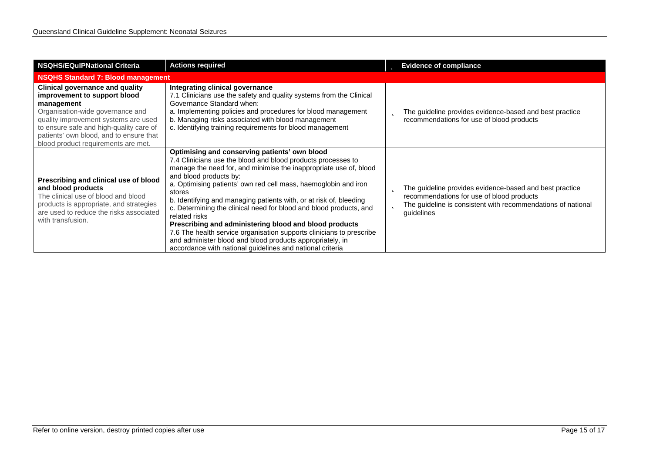| <b>NSQHS/EQuIPNational Criteria</b>                                                                                                                                                                                                                                                           | <b>Actions required</b>                                                                                                                                                                                                                                                                                                                                                                                                                                                                                                                                                                                                                                                                                            | <b>b</b> Evidence of compliance                                                                                                                                                              |  |
|-----------------------------------------------------------------------------------------------------------------------------------------------------------------------------------------------------------------------------------------------------------------------------------------------|--------------------------------------------------------------------------------------------------------------------------------------------------------------------------------------------------------------------------------------------------------------------------------------------------------------------------------------------------------------------------------------------------------------------------------------------------------------------------------------------------------------------------------------------------------------------------------------------------------------------------------------------------------------------------------------------------------------------|----------------------------------------------------------------------------------------------------------------------------------------------------------------------------------------------|--|
| <b>NSQHS Standard 7: Blood management</b>                                                                                                                                                                                                                                                     |                                                                                                                                                                                                                                                                                                                                                                                                                                                                                                                                                                                                                                                                                                                    |                                                                                                                                                                                              |  |
| <b>Clinical governance and quality</b><br>improvement to support blood<br>management<br>Organisation-wide governance and<br>quality improvement systems are used<br>to ensure safe and high-quality care of<br>patients' own blood, and to ensure that<br>blood product requirements are met. | Integrating clinical governance<br>7.1 Clinicians use the safety and quality systems from the Clinical<br>Governance Standard when:<br>a. Implementing policies and procedures for blood management<br>b. Managing risks associated with blood management<br>c. Identifying training requirements for blood management                                                                                                                                                                                                                                                                                                                                                                                             | The guideline provides evidence-based and best practice<br>Þ<br>recommendations for use of blood products                                                                                    |  |
| Prescribing and clinical use of blood<br>and blood products<br>The clinical use of blood and blood<br>products is appropriate, and strategies<br>are used to reduce the risks associated<br>with transfusion.                                                                                 | Optimising and conserving patients' own blood<br>7.4 Clinicians use the blood and blood products processes to<br>manage the need for, and minimise the inappropriate use of, blood<br>and blood products by:<br>a. Optimising patients' own red cell mass, haemoglobin and iron<br>stores<br>b. Identifying and managing patients with, or at risk of, bleeding<br>c. Determining the clinical need for blood and blood products, and<br>related risks<br>Prescribing and administering blood and blood products<br>7.6 The health service organisation supports clinicians to prescribe<br>and administer blood and blood products appropriately, in<br>accordance with national guidelines and national criteria | The guideline provides evidence-based and best practice<br>b<br>recommendations for use of blood products<br>The guideline is consistent with recommendations of national<br>Þ<br>guidelines |  |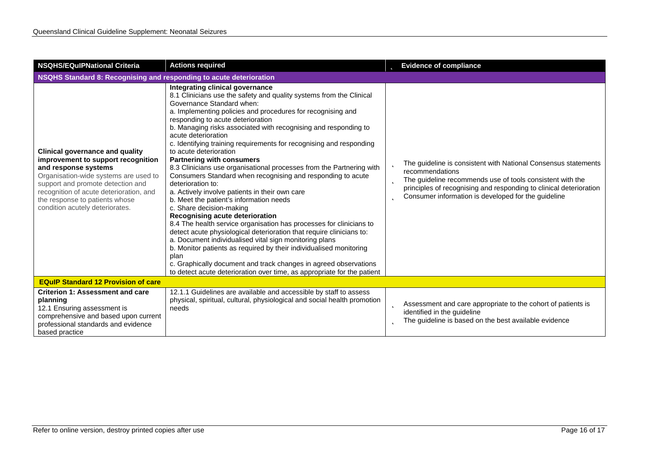| <b>NSQHS/EQuIPNational Criteria</b>                                                                                                                                                                                                                                                                | <b>Actions required</b>                                                                                                                                                                                                                                                                                                                                                                                                                                                                                                                                                                                                                                                                                                                                                                                                                                                                                                                                                                                                                                                                                                                                                                                                              | <b>b</b> Evidence of compliance                                                                                                                                                                                                                                                       |  |
|----------------------------------------------------------------------------------------------------------------------------------------------------------------------------------------------------------------------------------------------------------------------------------------------------|--------------------------------------------------------------------------------------------------------------------------------------------------------------------------------------------------------------------------------------------------------------------------------------------------------------------------------------------------------------------------------------------------------------------------------------------------------------------------------------------------------------------------------------------------------------------------------------------------------------------------------------------------------------------------------------------------------------------------------------------------------------------------------------------------------------------------------------------------------------------------------------------------------------------------------------------------------------------------------------------------------------------------------------------------------------------------------------------------------------------------------------------------------------------------------------------------------------------------------------|---------------------------------------------------------------------------------------------------------------------------------------------------------------------------------------------------------------------------------------------------------------------------------------|--|
| NSQHS Standard 8: Recognising and responding to acute deterioration                                                                                                                                                                                                                                |                                                                                                                                                                                                                                                                                                                                                                                                                                                                                                                                                                                                                                                                                                                                                                                                                                                                                                                                                                                                                                                                                                                                                                                                                                      |                                                                                                                                                                                                                                                                                       |  |
| <b>Clinical governance and quality</b><br>improvement to support recognition<br>and response systems<br>Organisation-wide systems are used to<br>support and promote detection and<br>recognition of acute deterioration, and<br>the response to patients whose<br>condition acutely deteriorates. | Integrating clinical governance<br>8.1 Clinicians use the safety and quality systems from the Clinical<br>Governance Standard when:<br>a. Implementing policies and procedures for recognising and<br>responding to acute deterioration<br>b. Managing risks associated with recognising and responding to<br>acute deterioration<br>c. Identifying training requirements for recognising and responding<br>to acute deterioration<br><b>Partnering with consumers</b><br>8.3 Clinicians use organisational processes from the Partnering with<br>Consumers Standard when recognising and responding to acute<br>deterioration to:<br>a. Actively involve patients in their own care<br>b. Meet the patient's information needs<br>c. Share decision-making<br>Recognising acute deterioration<br>8.4 The health service organisation has processes for clinicians to<br>detect acute physiological deterioration that require clinicians to:<br>a. Document individualised vital sign monitoring plans<br>b. Monitor patients as required by their individualised monitoring<br>plan<br>c. Graphically document and track changes in agreed observations<br>to detect acute deterioration over time, as appropriate for the patient | The guideline is consistent with National Consensus statements<br>recommendations<br>The guideline recommends use of tools consistent with the<br>Þ<br>principles of recognising and responding to clinical deterioration<br>Consumer information is developed for the guideline<br>Þ |  |
| <b>EQuIP Standard 12 Provision of care</b>                                                                                                                                                                                                                                                         |                                                                                                                                                                                                                                                                                                                                                                                                                                                                                                                                                                                                                                                                                                                                                                                                                                                                                                                                                                                                                                                                                                                                                                                                                                      |                                                                                                                                                                                                                                                                                       |  |
| <b>Criterion 1: Assessment and care</b><br>planning<br>12.1 Ensuring assessment is<br>comprehensive and based upon current<br>professional standards and evidence<br>based practice                                                                                                                | 12.1.1 Guidelines are available and accessible by staff to assess<br>physical, spiritual, cultural, physiological and social health promotion<br>needs                                                                                                                                                                                                                                                                                                                                                                                                                                                                                                                                                                                                                                                                                                                                                                                                                                                                                                                                                                                                                                                                               | Assessment and care appropriate to the cohort of patients is<br>Þ<br>identified in the quideline<br>The guideline is based on the best available evidence<br>b                                                                                                                        |  |